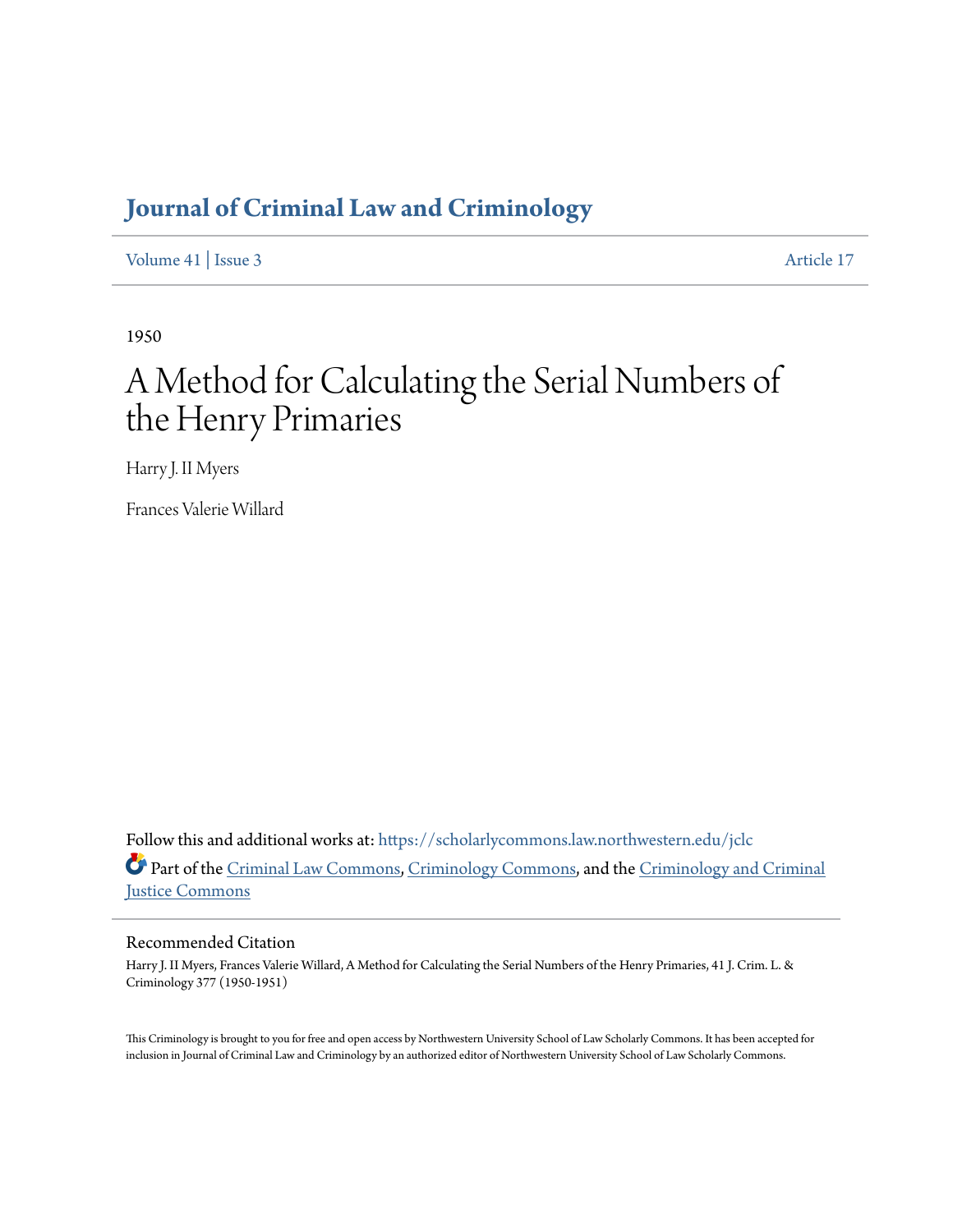# **[Journal of Criminal Law and Criminology](https://scholarlycommons.law.northwestern.edu/jclc?utm_source=scholarlycommons.law.northwestern.edu%2Fjclc%2Fvol41%2Fiss3%2F17&utm_medium=PDF&utm_campaign=PDFCoverPages)**

[Volume 41](https://scholarlycommons.law.northwestern.edu/jclc/vol41?utm_source=scholarlycommons.law.northwestern.edu%2Fjclc%2Fvol41%2Fiss3%2F17&utm_medium=PDF&utm_campaign=PDFCoverPages) | [Issue 3](https://scholarlycommons.law.northwestern.edu/jclc/vol41/iss3?utm_source=scholarlycommons.law.northwestern.edu%2Fjclc%2Fvol41%2Fiss3%2F17&utm_medium=PDF&utm_campaign=PDFCoverPages) [Article 17](https://scholarlycommons.law.northwestern.edu/jclc/vol41/iss3/17?utm_source=scholarlycommons.law.northwestern.edu%2Fjclc%2Fvol41%2Fiss3%2F17&utm_medium=PDF&utm_campaign=PDFCoverPages)

1950

# A Method for Calculating the Serial Numbers of the Henry Primaries

Harry J. II Myers

Frances Valerie Willard

Follow this and additional works at: [https://scholarlycommons.law.northwestern.edu/jclc](https://scholarlycommons.law.northwestern.edu/jclc?utm_source=scholarlycommons.law.northwestern.edu%2Fjclc%2Fvol41%2Fiss3%2F17&utm_medium=PDF&utm_campaign=PDFCoverPages) Part of the [Criminal Law Commons](http://network.bepress.com/hgg/discipline/912?utm_source=scholarlycommons.law.northwestern.edu%2Fjclc%2Fvol41%2Fiss3%2F17&utm_medium=PDF&utm_campaign=PDFCoverPages), [Criminology Commons](http://network.bepress.com/hgg/discipline/417?utm_source=scholarlycommons.law.northwestern.edu%2Fjclc%2Fvol41%2Fiss3%2F17&utm_medium=PDF&utm_campaign=PDFCoverPages), and the [Criminology and Criminal](http://network.bepress.com/hgg/discipline/367?utm_source=scholarlycommons.law.northwestern.edu%2Fjclc%2Fvol41%2Fiss3%2F17&utm_medium=PDF&utm_campaign=PDFCoverPages) [Justice Commons](http://network.bepress.com/hgg/discipline/367?utm_source=scholarlycommons.law.northwestern.edu%2Fjclc%2Fvol41%2Fiss3%2F17&utm_medium=PDF&utm_campaign=PDFCoverPages)

# Recommended Citation

Harry J. II Myers, Frances Valerie Willard, A Method for Calculating the Serial Numbers of the Henry Primaries, 41 J. Crim. L. & Criminology 377 (1950-1951)

This Criminology is brought to you for free and open access by Northwestern University School of Law Scholarly Commons. It has been accepted for inclusion in Journal of Criminal Law and Criminology by an authorized editor of Northwestern University School of Law Scholarly Commons.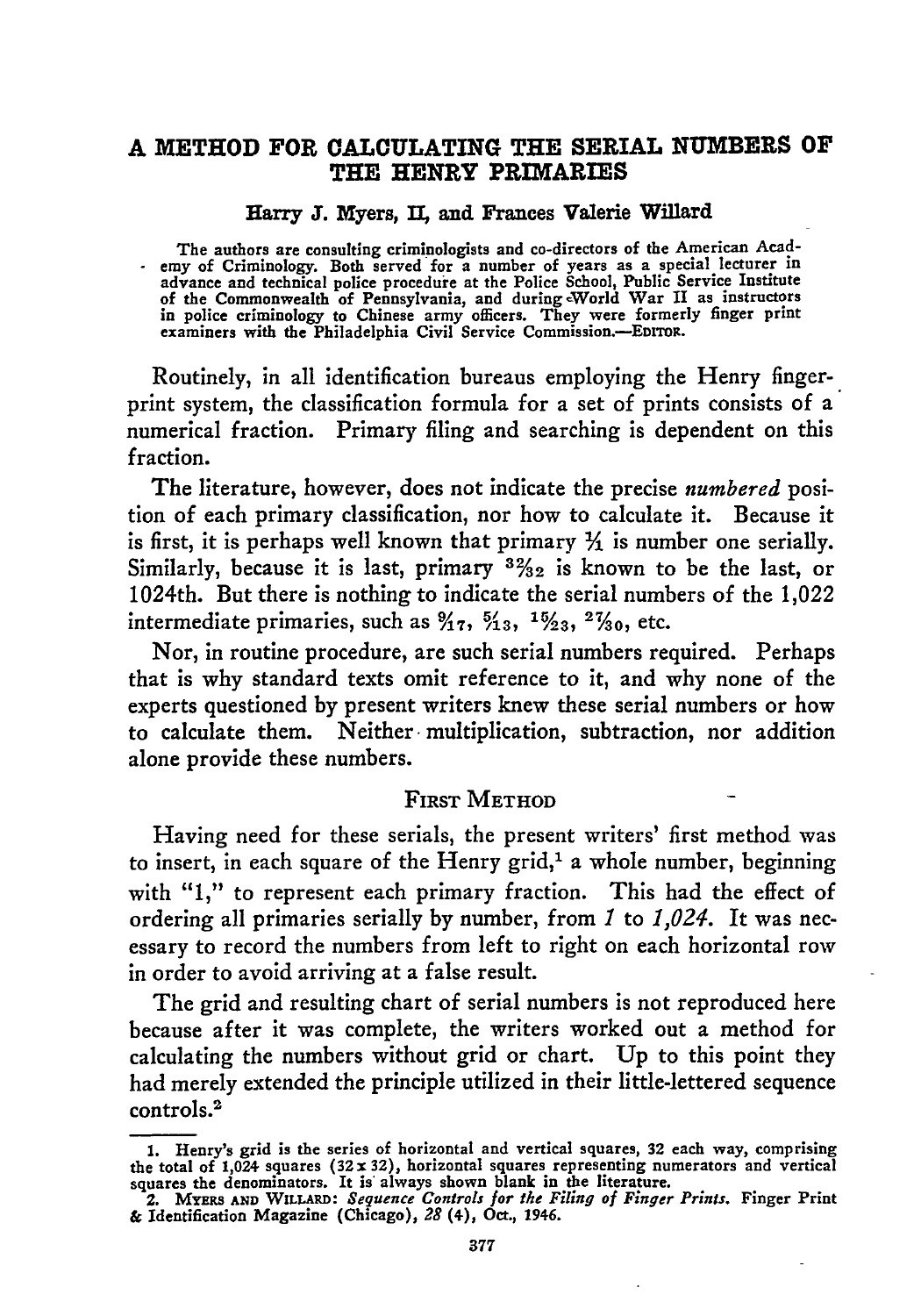# **A METHOD FOR CALCULATING THE SERIAL NUMBERS OF THE HENRY PRIMARIES**

#### Harry J. Myers, II. and Frances Valerie Willard

The authors are consulting criminologists and co-directors of the American Acad- **-** emy of Criminology. Both served for a number of years as a special lecturer in advance and technical police procedure at the Police School, Public Service Institute<br>of the Commonwealth of Pennsylvania, and during World War II as instructors<br>in police criminology to Chinese army officers. They were fo

Routinely, in all identification bureaus employing the Henry fingerprint system, the classification formula for a set of prints consists of a numerical fraction. Primary filing and searching is dependent on this fraction.

The literature, however, does not indicate the precise *numbered* position of each primary classification, nor how to calculate it. Because it is first, it is perhaps well known that primary  $\frac{1}{2}$  is number one serially. Similarly, because it is last, primary **3%2** is known to be the last, or 1024th. But there is nothing to indicate the serial numbers of the 1,022 intermediate primaries, such as  $\frac{9}{17}$ ,  $\frac{5}{13}$ ,  $\frac{15}{23}$ ,  $\frac{27}{30}$ , etc.

Nor, in routine procedure, are such serial numbers required. Perhaps that is why standard texts omit reference to it, and why none of the experts questioned **by** present writers knew these serial numbers or how to calculate them. Neither multiplication, subtraction, nor addition alone provide these numbers.

### FIRST METHOD

Having need for these serials, the present writers' first method was to insert, in each square of the Henry grid,<sup>1</sup> a whole number, beginning with "1," to represent each primary fraction. This had the effect of ordering all primaries serially **by** number, from *I* to *1,024.* It was necessary to record the numbers from left to right on each horizontal **row** in order to avoid arriving at a false result.

The grid and resulting chart of serial numbers is not reproduced here because after it was complete, the writers worked out a method for calculating the numbers without grid or chart. **Up** to this point they had merely extended the principle utilized in their little-lettered sequence controls.<sup>2</sup>

**<sup>1.</sup>** Henry's grid is the series of horizontal and vertical squares, **32** each way, comprising the total of 1,024 squares (32 x 32), horizontal squares representing numerators and vertical squares the denominators. It is always shown blank in the literature.<br>2. MYERS AND WILLARD: Sequence Controls for the Filing of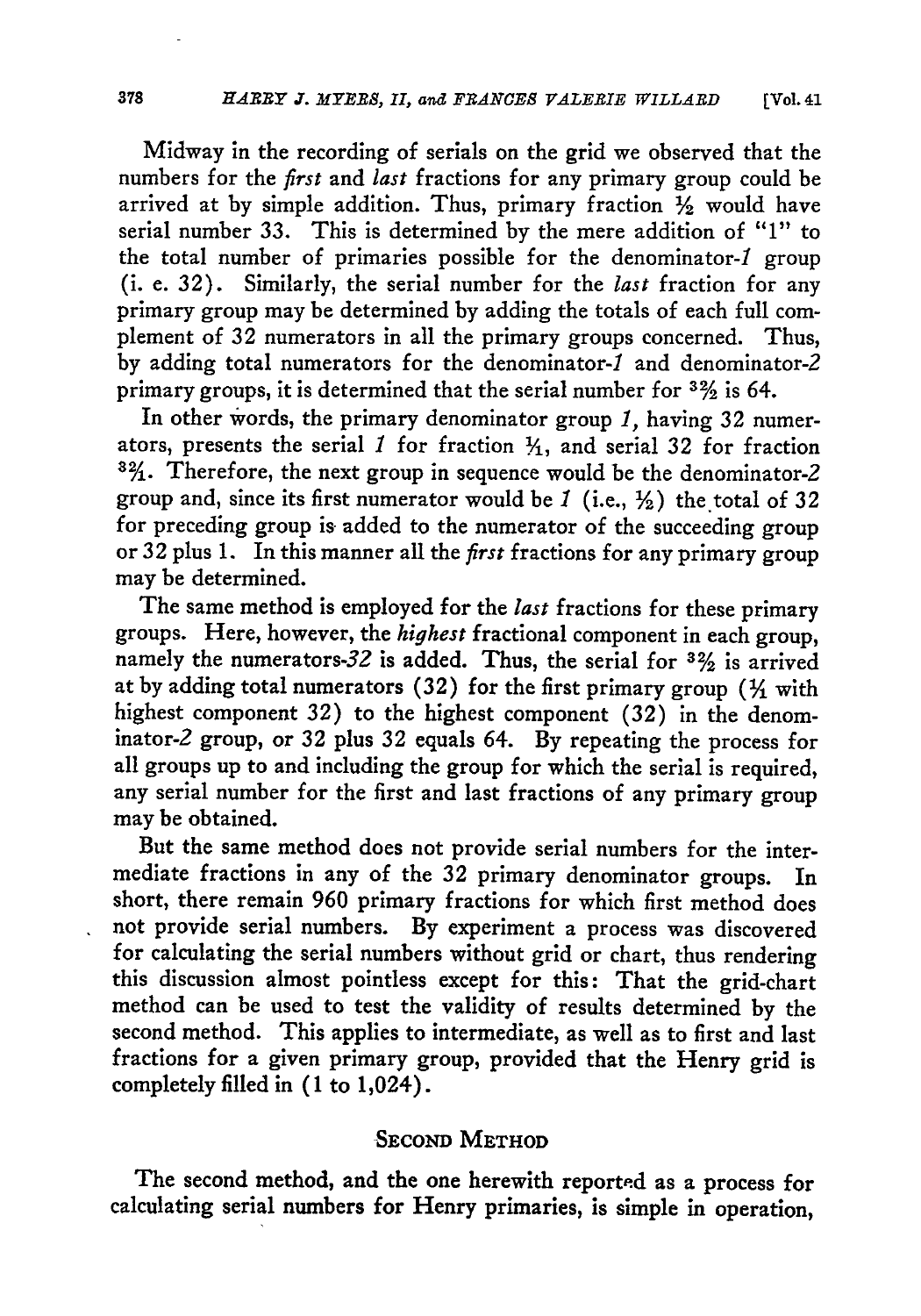Midway in the recording of serials on the grid we observed that the numbers for the *first* and *last* fractions for any primary group could be arrived at **by** simple addition. Thus, primary fraction **%** would have serial number **33.** This is determined **by** the mere addition of *"1"* to the total number of primaries possible for the denominator-1 group (i. e. **32).** Similarly, the serial number for the *last* fraction for any primary group may be determined **by** adding the totals of each full complement of **32** numerators in all the primary groups concerned. Thus, by adding total numerators for the denominator-1 and denominator-2 primary groups, it is determined that the serial number for **3%** is 64.

In other Words, the primary denominator group *1,* having **32** numerators, presents the serial  $1$  for fraction  $\frac{1}{1}$ , and serial 32 for fraction **8%,.** Therefore, the next group in sequence would be the denominator-2 group and, since its first numerator would be *1* (i.e., **%)** the total of **32** for preceding group is added to the numerator of the succeeding group or 32 plus **1.** In this manner all the *first* fractions for any primary group may be determined.

The same method is employed for the *last* fractions for these primary groups. Here, however, the *highest* fractional component in each group, namely the numerators-32 is added. Thus, the serial for  $3\frac{2}{3}$  is arrived at **by** adding total numerators **(32)** for the first primary group (Y1 with highest component **32)** to the highest component **(32)** in the denominator-2 group, or **32** plus **32** equals 64. **By** repeating the process for all groups up to and including the group for which the serial is required, any serial number for the first and last fractions of any primary group may be obtained.

But the same method does not provide serial numbers for the intermediate fractions in any of the **32** primary denominator groups. In short, there remain **960** primary fractions for which first method does not provide serial numbers. **By** experiment a process was discovered for calculating the serial numbers without grid or chart, thus rendering this discussion almost pointless except for this: That the grid-chart method can be used to test the validity of results determined **by** the second method. This applies to intermediate, as well as to first and last fractions for a given primary group, provided that the Henry grid is completely filled in **(1** to 1,024).

## **SECOND** METHOD

The second method, and the one herewith reported as a process for calculating serial numbers for Henry primaries, is simple in operation,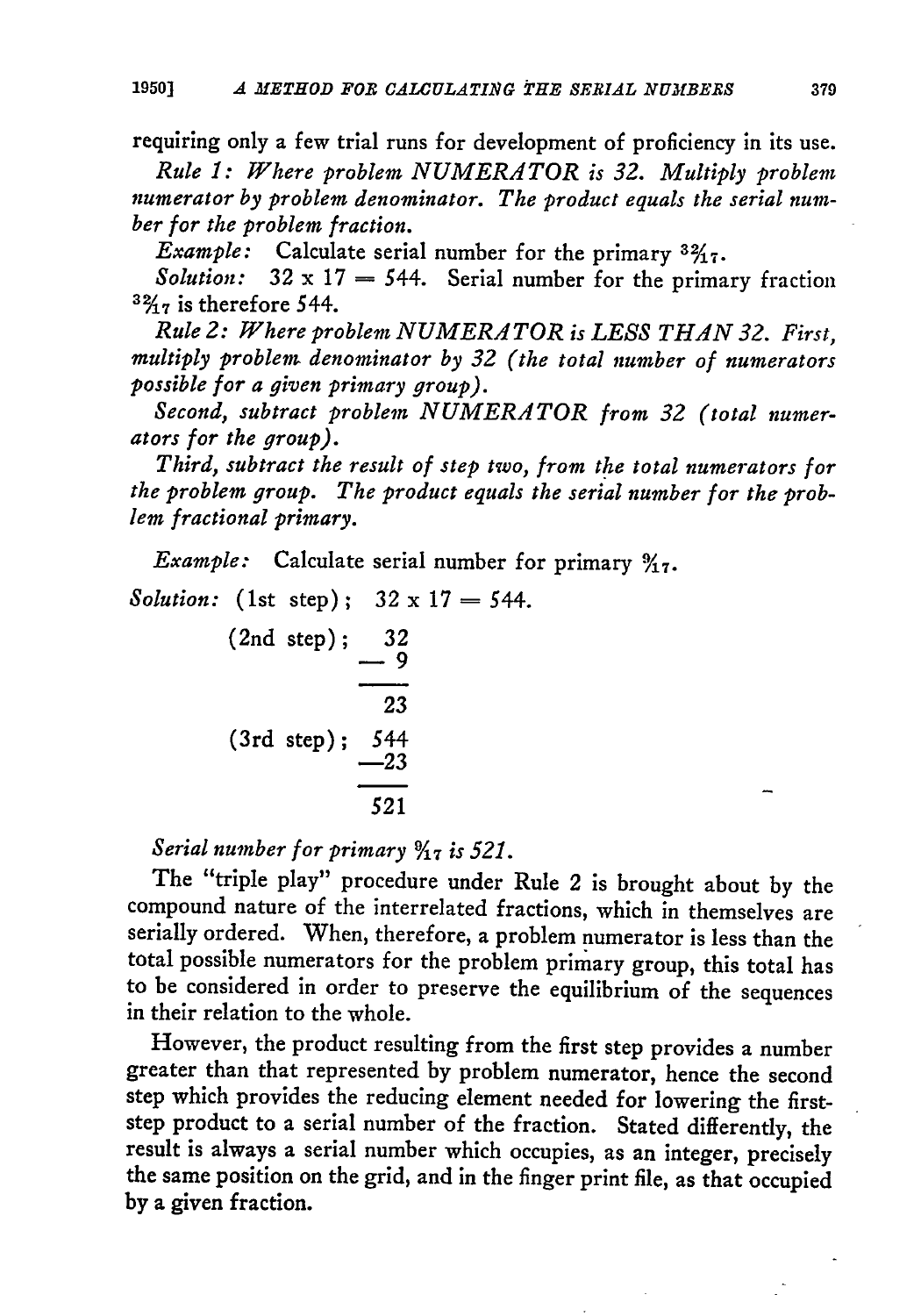requiring only a few trial runs for development of proficiency in its use. *Rule 1: Where problem NUMERATOR is 32. Multiply problem numerator by problem denominator. The product equals the serial number for the problem fraction.*

*Example:* Calculate serial number for the primary  $3\frac{2}{17}$ .

*Solution:*  $32 \times 17 = 544$ . Serial number for the primary fraction *'%7* is therefore 544.

*Rule 2: Where problem NUMERATOR is LESS THAN 32. First, multiply problem denominator by 32 (the total number of numerators possible for a given primary group).*

*Second, subtract problem NUMERATOR from 32 (total numerators for the group).*

*Third, subtract the result of step two, from the total numerators for the problem group. The product equals the serial number for the problem fractional primary.*

*Example:* Calculate serial number for primary **%7.**

*Solution:* (1st step);  $32 \times 17 = 544$ .

$$
\begin{array}{r} \n \text{(2nd step)}; \underline{\hspace{1cm}} 32 \\
\underline{\hspace{1cm}} 9 \\
\underline{\hspace{1cm}} 23 \\
\hline \end{array}
$$
\n
$$
\begin{array}{r} \n \text{(3rd step)}; \underline{\hspace{1cm}} 544 \\
\underline{\hspace{1cm}} 23 \\
\underline{\hspace{1cm}} 521\n \end{array}
$$

*Serial number for primary*  $\frac{9}{17}$  *is 521.* 

The "triple play" procedure under Rule 2 is brought about by the compound nature of the interrelated fractions, which in themselves are serially ordered. When, therefore, a problem numerator is less than the total possible numerators for the problem primary group, this total has to be considered in order to preserve the equilibrium of the sequences in their relation to the whole.

However, the product resulting from the first step provides a number greater than that represented by problem numerator, hence the second step which provides the reducing element needed for lowering the firststep product to a serial number of the fraction. Stated differently, the result is always a serial number which occupies, as an integer, precisely the same position on the grid, and in the finger print file, as that occupied by a given fraction.